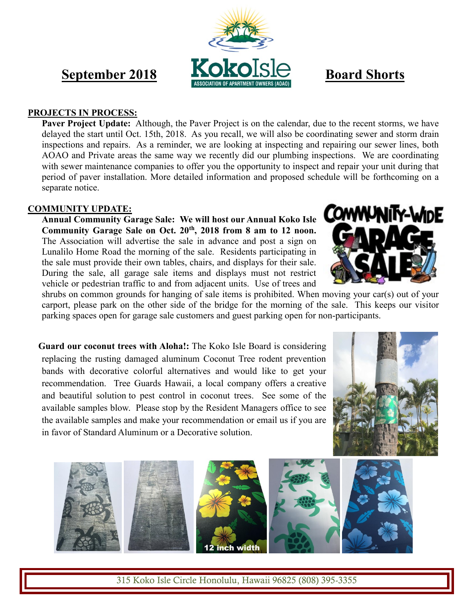# **September 2018 KOKOISIA** Board Shorts

#### **PROJECTS IN PROCESS:**

**Paver Project Update:** Although, the Paver Project is on the calendar, due to the recent storms, we have delayed the start until Oct. 15th, 2018. As you recall, we will also be coordinating sewer and storm drain inspections and repairs. As a reminder, we are looking at inspecting and repairing our sewer lines, both AOAO and Private areas the same way we recently did our plumbing inspections. We are coordinating with sewer maintenance companies to offer you the opportunity to inspect and repair your unit during that period of paver installation. More detailed information and proposed schedule will be forthcoming on a separate notice.

#### **COMMUNITY UPDATE:**

**Annual Community Garage Sale:****We will host our Annual Koko Isle Community Garage Sale on Oct. 20th, 2018 from 8 am to 12 noon.** The Association will advertise the sale in advance and post a sign on Lunalilo Home Road the morning of the sale.Residents participating in the sale must provide their own tables, chairs, and displays for their sale. During the sale, all garage sale items and displays must not restrict vehicle or pedestrian traffic to and from adjacent units. Use of trees and

**COMMUNITY-WIDE** 

shrubs on common grounds for hanging of sale items is prohibited. When moving your car(s) out of your carport, please park on the other side of the bridge for the morning of the sale. This keeps our visitor parking spaces open for garage sale customers and guest parking open for non-participants.

**Guard our coconut trees with Aloha!:** The Koko Isle Board is considering replacing the rusting damaged aluminum Coconut Tree rodent prevention bands with decorative colorful alternatives and would like to get your recommendation. Tree Guards Hawaii, a local company offers a creative and beautiful solution to pest control in coconut trees. See some of the available samples blow. Please stop by the Resident Managers office to see the available samples and make your recommendation or email us if you are in favor of Standard Aluminum or a Decorative solution.